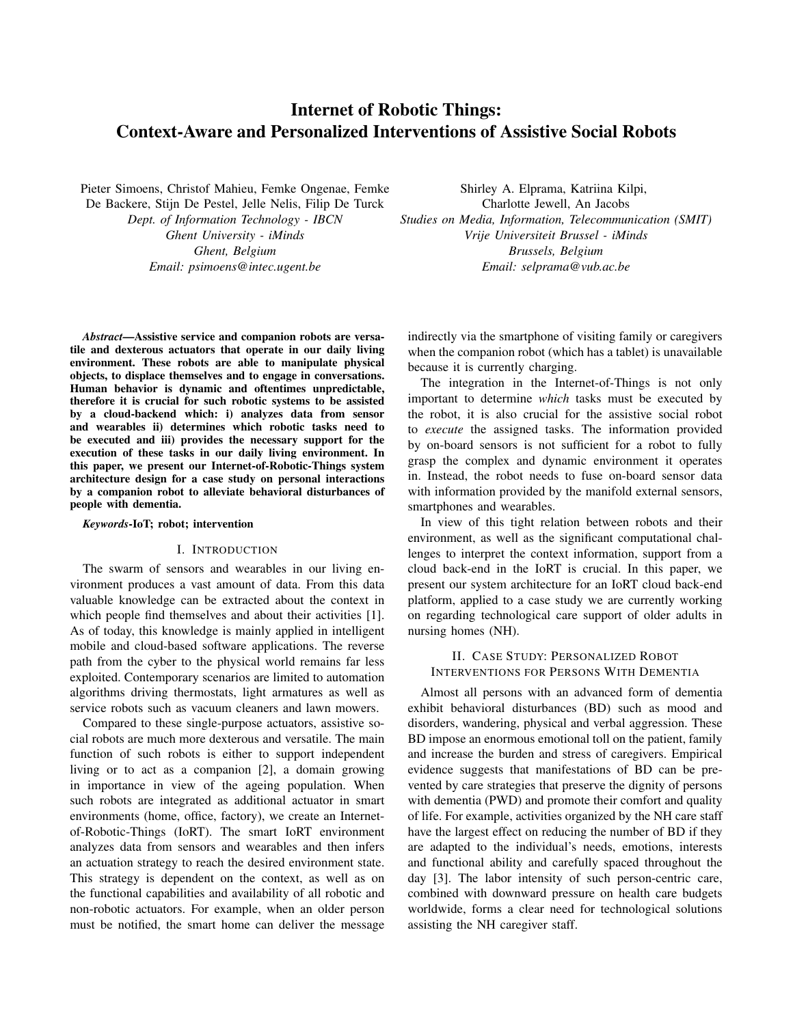# Internet of Robotic Things: Context-Aware and Personalized Interventions of Assistive Social Robots

Pieter Simoens, Christof Mahieu, Femke Ongenae, Femke

De Backere, Stijn De Pestel, Jelle Nelis, Filip De Turck *Dept. of Information Technology - IBCN Ghent University - iMinds Ghent, Belgium Email: psimoens@intec.ugent.be*

*Abstract*—Assistive service and companion robots are versatile and dexterous actuators that operate in our daily living environment. These robots are able to manipulate physical objects, to displace themselves and to engage in conversations. Human behavior is dynamic and oftentimes unpredictable, therefore it is crucial for such robotic systems to be assisted by a cloud-backend which: i) analyzes data from sensor and wearables ii) determines which robotic tasks need to be executed and iii) provides the necessary support for the execution of these tasks in our daily living environment. In this paper, we present our Internet-of-Robotic-Things system architecture design for a case study on personal interactions by a companion robot to alleviate behavioral disturbances of people with dementia.

#### *Keywords*-IoT; robot; intervention

# I. INTRODUCTION

The swarm of sensors and wearables in our living environment produces a vast amount of data. From this data valuable knowledge can be extracted about the context in which people find themselves and about their activities [1]. As of today, this knowledge is mainly applied in intelligent mobile and cloud-based software applications. The reverse path from the cyber to the physical world remains far less exploited. Contemporary scenarios are limited to automation algorithms driving thermostats, light armatures as well as service robots such as vacuum cleaners and lawn mowers.

Compared to these single-purpose actuators, assistive social robots are much more dexterous and versatile. The main function of such robots is either to support independent living or to act as a companion [2], a domain growing in importance in view of the ageing population. When such robots are integrated as additional actuator in smart environments (home, office, factory), we create an Internetof-Robotic-Things (IoRT). The smart IoRT environment analyzes data from sensors and wearables and then infers an actuation strategy to reach the desired environment state. This strategy is dependent on the context, as well as on the functional capabilities and availability of all robotic and non-robotic actuators. For example, when an older person must be notified, the smart home can deliver the message

Shirley A. Elprama, Katriina Kilpi, Charlotte Jewell, An Jacobs *Studies on Media, Information, Telecommunication (SMIT) Vrije Universiteit Brussel - iMinds Brussels, Belgium Email: selprama@vub.ac.be*

indirectly via the smartphone of visiting family or caregivers when the companion robot (which has a tablet) is unavailable because it is currently charging.

The integration in the Internet-of-Things is not only important to determine *which* tasks must be executed by the robot, it is also crucial for the assistive social robot to *execute* the assigned tasks. The information provided by on-board sensors is not sufficient for a robot to fully grasp the complex and dynamic environment it operates in. Instead, the robot needs to fuse on-board sensor data with information provided by the manifold external sensors, smartphones and wearables.

In view of this tight relation between robots and their environment, as well as the significant computational challenges to interpret the context information, support from a cloud back-end in the IoRT is crucial. In this paper, we present our system architecture for an IoRT cloud back-end platform, applied to a case study we are currently working on regarding technological care support of older adults in nursing homes (NH).

# II. CASE STUDY: PERSONALIZED ROBOT INTERVENTIONS FOR PERSONS WITH DEMENTIA

Almost all persons with an advanced form of dementia exhibit behavioral disturbances (BD) such as mood and disorders, wandering, physical and verbal aggression. These BD impose an enormous emotional toll on the patient, family and increase the burden and stress of caregivers. Empirical evidence suggests that manifestations of BD can be prevented by care strategies that preserve the dignity of persons with dementia (PWD) and promote their comfort and quality of life. For example, activities organized by the NH care staff have the largest effect on reducing the number of BD if they are adapted to the individual's needs, emotions, interests and functional ability and carefully spaced throughout the day [3]. The labor intensity of such person-centric care, combined with downward pressure on health care budgets worldwide, forms a clear need for technological solutions assisting the NH caregiver staff.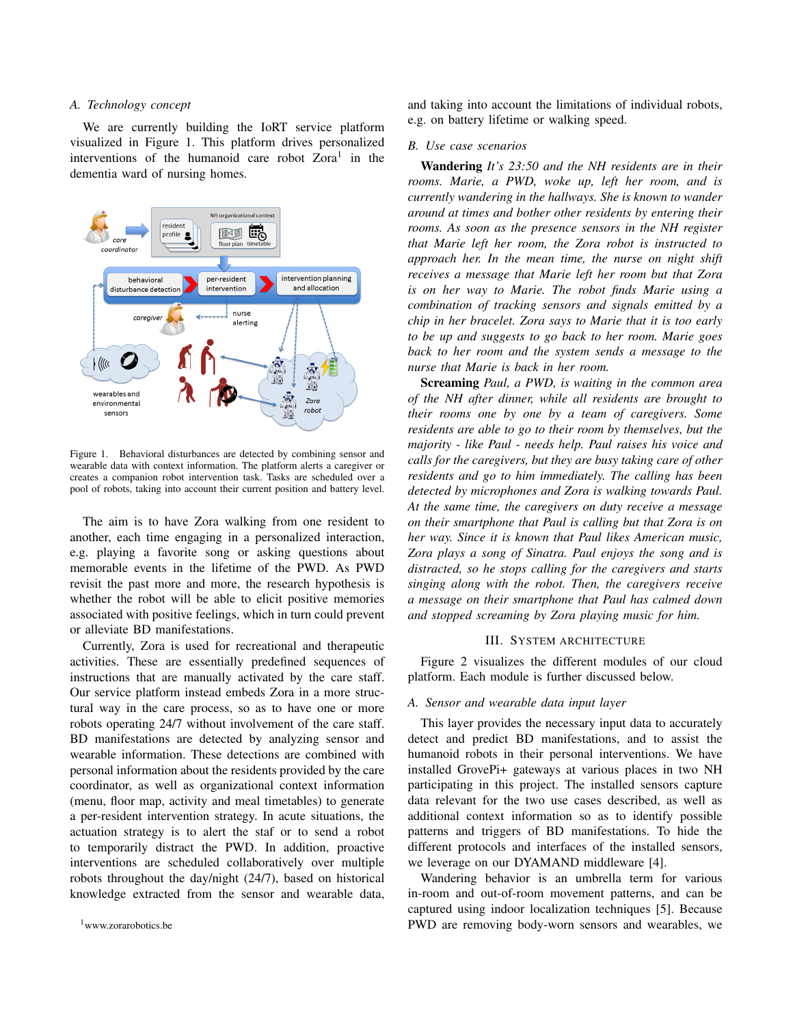## *A. Technology concept*

We are currently building the IoRT service platform visualized in Figure 1. This platform drives personalized interventions of the humanoid care robot Zora<sup>1</sup> in the dementia ward of nursing homes.



Figure 1. Behavioral disturbances are detected by combining sensor and wearable data with context information. The platform alerts a caregiver or creates a companion robot intervention task. Tasks are scheduled over a pool of robots, taking into account their current position and battery level.

The aim is to have Zora walking from one resident to another, each time engaging in a personalized interaction, e.g. playing a favorite song or asking questions about memorable events in the lifetime of the PWD. As PWD revisit the past more and more, the research hypothesis is whether the robot will be able to elicit positive memories associated with positive feelings, which in turn could prevent or alleviate BD manifestations.

Currently, Zora is used for recreational and therapeutic activities. These are essentially predefined sequences of instructions that are manually activated by the care staff. Our service platform instead embeds Zora in a more structural way in the care process, so as to have one or more robots operating 24/7 without involvement of the care staff. BD manifestations are detected by analyzing sensor and wearable information. These detections are combined with personal information about the residents provided by the care coordinator, as well as organizational context information (menu, floor map, activity and meal timetables) to generate a per-resident intervention strategy. In acute situations, the actuation strategy is to alert the staf or to send a robot to temporarily distract the PWD. In addition, proactive interventions are scheduled collaboratively over multiple robots throughout the day/night (24/7), based on historical knowledge extracted from the sensor and wearable data, and taking into account the limitations of individual robots, e.g. on battery lifetime or walking speed.

#### *B. Use case scenarios*

Wandering *It's 23:50 and the NH residents are in their rooms. Marie, a PWD, woke up, left her room, and is currently wandering in the hallways. She is known to wander around at times and bother other residents by entering their rooms. As soon as the presence sensors in the NH register that Marie left her room, the Zora robot is instructed to approach her. In the mean time, the nurse on night shift receives a message that Marie left her room but that Zora is on her way to Marie. The robot finds Marie using a combination of tracking sensors and signals emitted by a chip in her bracelet. Zora says to Marie that it is too early to be up and suggests to go back to her room. Marie goes back to her room and the system sends a message to the nurse that Marie is back in her room.*

Screaming *Paul, a PWD, is waiting in the common area of the NH after dinner, while all residents are brought to their rooms one by one by a team of caregivers. Some residents are able to go to their room by themselves, but the majority - like Paul - needs help. Paul raises his voice and calls for the caregivers, but they are busy taking care of other residents and go to him immediately. The calling has been detected by microphones and Zora is walking towards Paul. At the same time, the caregivers on duty receive a message on their smartphone that Paul is calling but that Zora is on her way. Since it is known that Paul likes American music, Zora plays a song of Sinatra. Paul enjoys the song and is distracted, so he stops calling for the caregivers and starts singing along with the robot. Then, the caregivers receive a message on their smartphone that Paul has calmed down and stopped screaming by Zora playing music for him.*

## III. SYSTEM ARCHITECTURE

Figure 2 visualizes the different modules of our cloud platform. Each module is further discussed below.

## *A. Sensor and wearable data input layer*

This layer provides the necessary input data to accurately detect and predict BD manifestations, and to assist the humanoid robots in their personal interventions. We have installed GrovePi+ gateways at various places in two NH participating in this project. The installed sensors capture data relevant for the two use cases described, as well as additional context information so as to identify possible patterns and triggers of BD manifestations. To hide the different protocols and interfaces of the installed sensors, we leverage on our DYAMAND middleware [4].

Wandering behavior is an umbrella term for various in-room and out-of-room movement patterns, and can be captured using indoor localization techniques [5]. Because PWD are removing body-worn sensors and wearables, we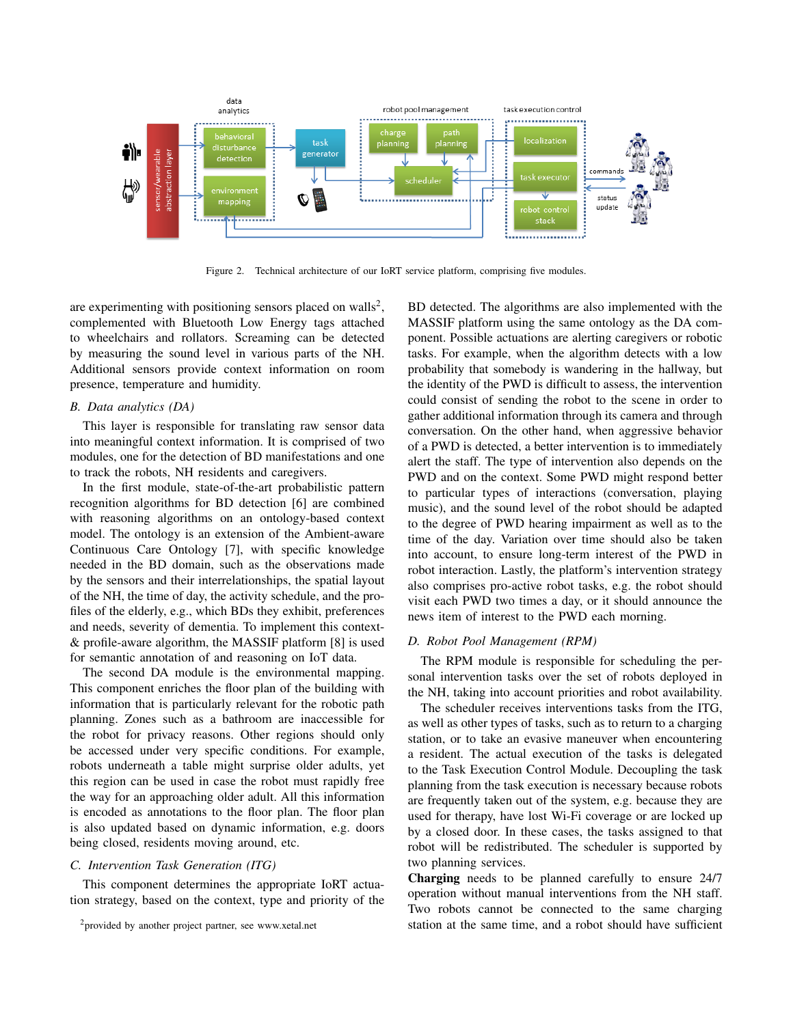

Figure 2. Technical architecture of our IoRT service platform, comprising five modules.

are experimenting with positioning sensors placed on walls<sup>2</sup>, complemented with Bluetooth Low Energy tags attached to wheelchairs and rollators. Screaming can be detected by measuring the sound level in various parts of the NH. Additional sensors provide context information on room presence, temperature and humidity.

## *B. Data analytics (DA)*

This layer is responsible for translating raw sensor data into meaningful context information. It is comprised of two modules, one for the detection of BD manifestations and one to track the robots, NH residents and caregivers.

In the first module, state-of-the-art probabilistic pattern recognition algorithms for BD detection [6] are combined with reasoning algorithms on an ontology-based context model. The ontology is an extension of the Ambient-aware Continuous Care Ontology [7], with specific knowledge needed in the BD domain, such as the observations made by the sensors and their interrelationships, the spatial layout of the NH, the time of day, the activity schedule, and the profiles of the elderly, e.g., which BDs they exhibit, preferences and needs, severity of dementia. To implement this context- & profile-aware algorithm, the MASSIF platform [8] is used for semantic annotation of and reasoning on IoT data.

The second DA module is the environmental mapping. This component enriches the floor plan of the building with information that is particularly relevant for the robotic path planning. Zones such as a bathroom are inaccessible for the robot for privacy reasons. Other regions should only be accessed under very specific conditions. For example, robots underneath a table might surprise older adults, yet this region can be used in case the robot must rapidly free the way for an approaching older adult. All this information is encoded as annotations to the floor plan. The floor plan is also updated based on dynamic information, e.g. doors being closed, residents moving around, etc.

#### *C. Intervention Task Generation (ITG)*

This component determines the appropriate IoRT actuation strategy, based on the context, type and priority of the BD detected. The algorithms are also implemented with the MASSIF platform using the same ontology as the DA component. Possible actuations are alerting caregivers or robotic tasks. For example, when the algorithm detects with a low probability that somebody is wandering in the hallway, but the identity of the PWD is difficult to assess, the intervention could consist of sending the robot to the scene in order to gather additional information through its camera and through conversation. On the other hand, when aggressive behavior of a PWD is detected, a better intervention is to immediately alert the staff. The type of intervention also depends on the PWD and on the context. Some PWD might respond better to particular types of interactions (conversation, playing music), and the sound level of the robot should be adapted to the degree of PWD hearing impairment as well as to the time of the day. Variation over time should also be taken into account, to ensure long-term interest of the PWD in robot interaction. Lastly, the platform's intervention strategy also comprises pro-active robot tasks, e.g. the robot should visit each PWD two times a day, or it should announce the news item of interest to the PWD each morning.

# *D. Robot Pool Management (RPM)*

The RPM module is responsible for scheduling the personal intervention tasks over the set of robots deployed in the NH, taking into account priorities and robot availability.

The scheduler receives interventions tasks from the ITG, as well as other types of tasks, such as to return to a charging station, or to take an evasive maneuver when encountering a resident. The actual execution of the tasks is delegated to the Task Execution Control Module. Decoupling the task planning from the task execution is necessary because robots are frequently taken out of the system, e.g. because they are used for therapy, have lost Wi-Fi coverage or are locked up by a closed door. In these cases, the tasks assigned to that robot will be redistributed. The scheduler is supported by two planning services.

Charging needs to be planned carefully to ensure 24/7 operation without manual interventions from the NH staff. Two robots cannot be connected to the same charging station at the same time, and a robot should have sufficient

<sup>2</sup>provided by another project partner, see www.xetal.net